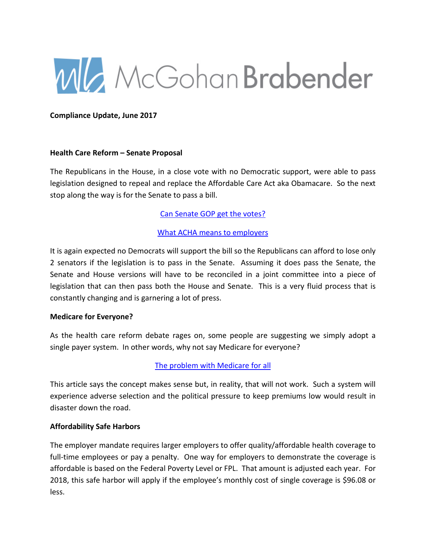

**Compliance Update, June 2017**

#### **Health Care Reform – Senate Proposal**

The Republicans in the House, in a close vote with no Democratic support, were able to pass legislation designed to repeal and replace the Affordable Care Act aka Obamacare. So the next stop along the way is for the Senate to pass a bill.

### [Can Senate GOP get the votes?](https://www.employmentmattersblog.com/2017/06/can-congress-get-to-yes-on-replacing-the-affordable-care-act/)

### [What ACHA means to employers](http://www.jonesday.com/issues-for-employers-as-health-care-legislation-moves-to-the-senate-05-30-2017/)

It is again expected no Democrats will support the bill so the Republicans can afford to lose only 2 senators if the legislation is to pass in the Senate. Assuming it does pass the Senate, the Senate and House versions will have to be reconciled in a joint committee into a piece of legislation that can then pass both the House and Senate. This is a very fluid process that is constantly changing and is garnering a lot of press.

#### **Medicare for Everyone?**

As the health care reform debate rages on, some people are suggesting we simply adopt a single payer system. In other words, why not say Medicare for everyone?

#### [The problem with Medicare for all](https://www.bloomberg.com/view/articles/2017-06-07/why-not-try-medicare-for-all-glad-you-asked)

This article says the concept makes sense but, in reality, that will not work. Such a system will experience adverse selection and the political pressure to keep premiums low would result in disaster down the road.

#### **Affordability Safe Harbors**

The employer mandate requires larger employers to offer quality/affordable health coverage to full-time employees or pay a penalty. One way for employers to demonstrate the coverage is affordable is based on the Federal Poverty Level or FPL. That amount is adjusted each year. For 2018, this safe harbor will apply if the employee's monthly cost of single coverage is \$96.08 or less.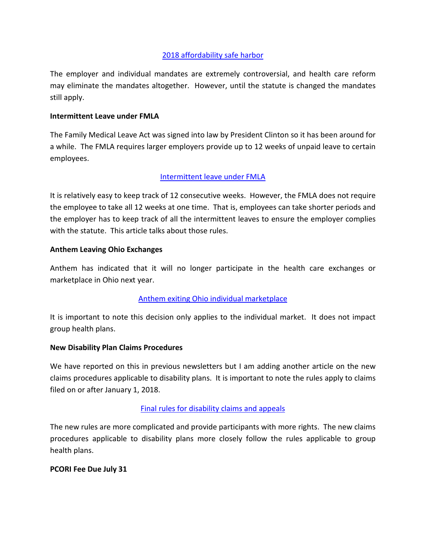# [2018 affordability safe harbor](https://www.shrm.org/resourcesandtools/hr-topics/benefits/pages/2018-aca-affordability-safe-harbor-percentage.aspx)

The employer and individual mandates are extremely controversial, and health care reform may eliminate the mandates altogether. However, until the statute is changed the mandates still apply.

#### **Intermittent Leave under FMLA**

The Family Medical Leave Act was signed into law by President Clinton so it has been around for a while. The FMLA requires larger employers provide up to 12 weeks of unpaid leave to certain employees.

### [Intermittent leave under FMLA](https://www.employmentmattersblog.com/2017/06/intermittent-leave-under-the-fmla-the-basics/)

It is relatively easy to keep track of 12 consecutive weeks. However, the FMLA does not require the employee to take all 12 weeks at one time. That is, employees can take shorter periods and the employer has to keep track of all the intermittent leaves to ensure the employer complies with the statute. This article talks about those rules.

### **Anthem Leaving Ohio Exchanges**

Anthem has indicated that it will no longer participate in the health care exchanges or marketplace in Ohio next year.

# [Anthem exiting Ohio individual marketplace](https://www.nytimes.com/2017/06/06/health/anthem-health-insurance-exchanges-ohio.html?ref=business&_r=1)

It is important to note this decision only applies to the individual market. It does not impact group health plans.

#### **New Disability Plan Claims Procedures**

We have reported on this in previous newsletters but I am adding another article on the new claims procedures applicable to disability plans. It is important to note the rules apply to claims filed on or after January 1, 2018.

# [Final rules for disability claims and appeals](https://www.segalco.com/publications-videos/update/final-rule-regarding-disability-claims-and-appeals/#StaffPlans)

The new rules are more complicated and provide participants with more rights. The new claims procedures applicable to disability plans more closely follow the rules applicable to group health plans.

#### **PCORI Fee Due July 31**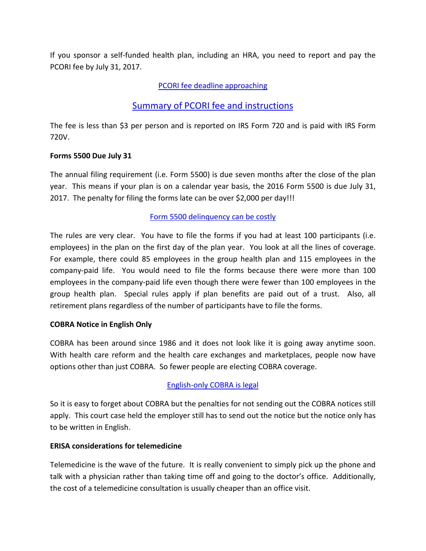If you sponsor a self-funded health plan, including an HRA, you need to report and pay the PCORI fee by July 31, 2017.

# [PCORI fee deadline approaching](http://s3-us-west-2.amazonaws.com/lockton-corporate-website/Compliance-Alerts/Compliance/06052017_PCORI_Reminder.pdf)

# [Summary of PCORI fee and instructions](http://www.cowdenassociates.com/wp-content/uploads/2017/06/Health-Care-Reform-Patient-Centered-Outcomes-Research-Institute-Fees.pdf)

The fee is less than \$3 per person and is reported on IRS Form 720 and is paid with IRS Form 720V.

#### **Forms 5500 Due July 31**

The annual filing requirement (i.e. Form 5500) is due seven months after the close of the plan year. This means if your plan is on a calendar year basis, the 2016 Form 5500 is due July 31, 2017. The penalty for filing the forms late can be over \$2,000 per day!!!

### [Form 5500 delinquency can be costly](http://www.ebenefitconsulting.com/PerspectivePage5.aspx)

The rules are very clear. You have to file the forms if you had at least 100 participants (i.e. employees) in the plan on the first day of the plan year. You look at all the lines of coverage. For example, there could 85 employees in the group health plan and 115 employees in the company-paid life. You would need to file the forms because there were more than 100 employees in the company-paid life even though there were fewer than 100 employees in the group health plan. Special rules apply if plan benefits are paid out of a trust. Also, all retirement plans regardless of the number of participants have to file the forms.

#### **COBRA Notice in English Only**

COBRA has been around since 1986 and it does not look like it is going away anytime soon. With health care reform and the health care exchanges and marketplaces, people now have options other than just COBRA. So fewer people are electing COBRA coverage.

# [English-only COBRA is legal](https://tax.thomsonreuters.com/checkpoint-ebia-newsletter/court-finds-no-obligation-to-provide-cobra-notice-in-language-other-than-english/)

So it is easy to forget about COBRA but the penalties for not sending out the COBRA notices still apply. This court case held the employer still has to send out the notice but the notice only has to be written in English.

#### **ERISA considerations for telemedicine**

Telemedicine is the wave of the future. It is really convenient to simply pick up the phone and talk with a physician rather than taking time off and going to the doctor's office. Additionally, the cost of a telemedicine consultation is usually cheaper than an office visit.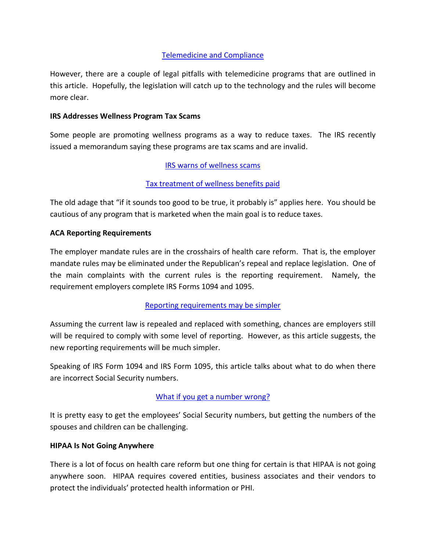# [Telemedicine and Compliance](https://www.fisherphillips.com/resources-newsletters-article-telemedicine-proceed-with-caution)

However, there are a couple of legal pitfalls with telemedicine programs that are outlined in this article. Hopefully, the legislation will catch up to the technology and the rules will become more clear.

### **IRS Addresses Wellness Program Tax Scams**

Some people are promoting wellness programs as a way to reduce taxes. The IRS recently issued a memorandum saying these programs are tax scams and are invalid.

# [IRS warns of wellness scams](https://www.carltonfields.com/irs-issues-warning-on-tax-treatment-of-wellness-program-rewards/)

# [Tax treatment of wellness benefits paid](http://www.wagnerlawgroup.com/HWLA051817.htm)

The old adage that "if it sounds too good to be true, it probably is" applies here. You should be cautious of any program that is marketed when the main goal is to reduce taxes.

### **ACA Reporting Requirements**

The employer mandate rules are in the crosshairs of health care reform. That is, the employer mandate rules may be eliminated under the Republican's repeal and replace legislation. One of the main complaints with the current rules is the reporting requirement. Namely, the requirement employers complete IRS Forms 1094 and 1095.

# [Reporting requirements may be simpler](http://news.wolterskluwerlb.com/news/reporting-requirements-here-to-stay-under-ahca-although-perhaps-will-become-simpler-expert-says/)

Assuming the current law is repealed and replaced with something, chances are employers still will be required to comply with some level of reporting. However, as this article suggests, the new reporting requirements will be much simpler.

Speaking of IRS Form 1094 and IRS Form 1095, this article talks about what to do when there are incorrect Social Security numbers.

# [What if you get a number wrong?](https://accord-aca.com/articles/incorrect-tin-for-2016-form-1095-c)

It is pretty easy to get the employees' Social Security numbers, but getting the numbers of the spouses and children can be challenging.

#### **HIPAA Is Not Going Anywhere**

There is a lot of focus on health care reform but one thing for certain is that HIPAA is not going anywhere soon. HIPAA requires covered entities, business associates and their vendors to protect the individuals' protected health information or PHI.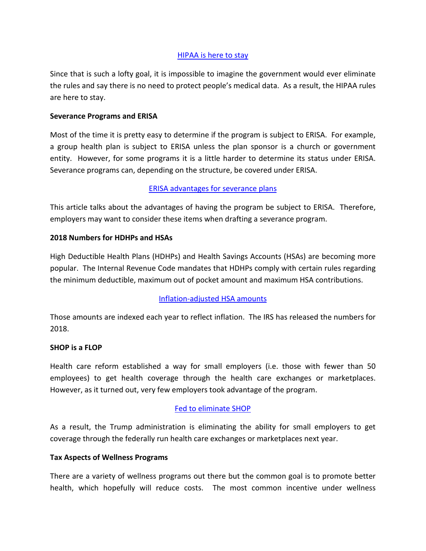### [HIPAA is here to stay](http://www.fraserlawfirm.com/blog/2017/05/the-future-of-the-ppaca-may-be-uncertain-but-hipaa-is-here-to-stay/)

Since that is such a lofty goal, it is impossible to imagine the government would ever eliminate the rules and say there is no need to protect people's medical data. As a result, the HIPAA rules are here to stay.

### **Severance Programs and ERISA**

Most of the time it is pretty easy to determine if the program is subject to ERISA. For example, a group health plan is subject to ERISA unless the plan sponsor is a church or government entity. However, for some programs it is a little harder to determine its status under ERISA. Severance programs can, depending on the structure, be covered under ERISA.

# [ERISA advantages for severance plans](http://www.winston.com/en/executive-compensation-blog/severance-plans-and-erisa.html)

This article talks about the advantages of having the program be subject to ERISA. Therefore, employers may want to consider these items when drafting a severance program.

### **2018 Numbers for HDHPs and HSAs**

High Deductible Health Plans (HDHPs) and Health Savings Accounts (HSAs) are becoming more popular. The Internal Revenue Code mandates that HDHPs comply with certain rules regarding the minimum deductible, maximum out of pocket amount and maximum HSA contributions.

# [Inflation-adjusted HSA amounts](http://www.theabdteam.com/abd-insights/newsletter/abd-compliance-alert-2018-inflation-adjusted-amounts-heath-savings-accounts)

Those amounts are indexed each year to reflect inflation. The IRS has released the numbers for 2018.

#### **SHOP is a FLOP**

Health care reform established a way for small employers (i.e. those with fewer than 50 employees) to get health coverage through the health care exchanges or marketplaces. However, as it turned out, very few employers took advantage of the program.

#### [Fed to eliminate SHOP](https://www.shrm.org/resourcesandtools/hr-topics/benefits/pages/shop-enrollment-nixed.aspx)

As a result, the Trump administration is eliminating the ability for small employers to get coverage through the federally run health care exchanges or marketplaces next year.

#### **Tax Aspects of Wellness Programs**

There are a variety of wellness programs out there but the common goal is to promote better health, which hopefully will reduce costs. The most common incentive under wellness